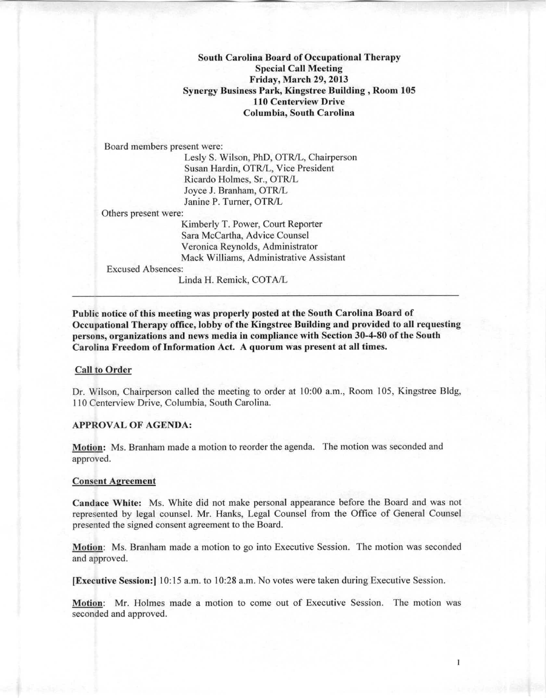South Carolina Board of Occupational Therapy Special Call Meeting Friday, March 29, 2013 Synergy Business Park, Kingstree Building, Room 105 110 Centerview Drive Columbia, South Carolina

Board members present were:

Lesly S. Wilson, PhD, OTR/L, Chairperson Susan Hardin, OTR/L, Vice President Ricardo Holmes, Sr., OTRIL Joyce J. Branham, OTR/L Janine P. Turner, OTR/L

Others present were:

Kimberly T. Power, Court Reporter Sara McCartha, Advice Counsel Veronica Reynolds, Administrator Mack Williams, Administrative Assistant

Excused Absences:

Linda H. Remick, COTA/L

Public notice of this meeting was properly posted at the South Carolina Board of Occupational Therapy office, lobby of the Kingstree Building and provided to all requesting persons, organizations and news media in compliance with Section 30-4-80 of the Sonth Carolina Freedom of Information Act. A quorum was present at all times.

## Call to Order

Dr. Wilson, Chairperson called the meeting to order at 10:00 a.m., Room 105, Kingstree Bldg, 110 Centerview Drive, Columbia, South Carolina.

## APPROVAL OF AGENDA:

Motion: Ms. Branham made a motion to reorder the agenda. The motion was seconded and approved.

## Consent Agreement

Candace White: Ms. White did not make personal appearance before the Board and was not represented by legal counsel. Mr. Hanks, Legal Counsel from the Office of General Counsel presented the signed consent agreement to the Board.

Motion: Ms. Branham made a motion to go into Executive Session. The motion was seconded and approved.

[Executive Session:] 10:15 a.m. to 10:28 a.m. No votes were taken during Executive Session.

Motion: Mr. Holmes made a motion to come out of Executive Session. The motion was seconded and approved.